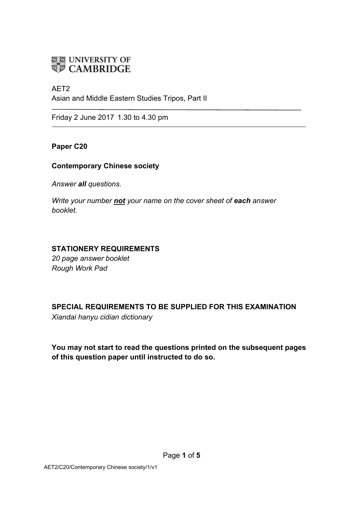# **ELE UNIVERSITY OF**<br>**CAMBRIDGE**

### AET2

Asian and Middle Eastern Studies Tripos, Part II

Friday 2 June 2017 1.30 to 4.30 pm

## **Paper C20**

## **Contemporary Chinese society**

*Answer all questions.* 

*Write your number not your name on the cover sheet of each answer booklet.* 

## **STATIONERY REQUIREMENTS**

*20 page answer booklet Rough Work Pad*

# **SPECIAL REQUIREMENTS TO BE SUPPLIED FOR THIS EXAMINATION**  *Xiandai hanyu cidian dictionary*

**You may not start to read the questions printed on the subsequent pages of this question paper until instructed to do so.**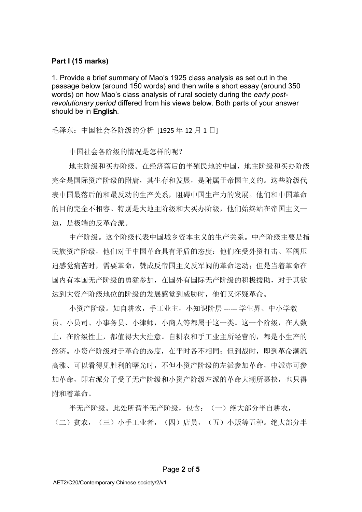#### **Part I (15 marks)**

1. Provide a brief summary of Mao's 1925 class analysis as set out in the passage below (around 150 words) and then write a short essay (around 350 words) on how Mao's class analysis of rural society during the *early postrevolutionary period* differed from his views below. Both parts of your answer should be in English.

毛泽东: 中国社会各阶级的分析 [1925 年 12 月 1 日]

中国社会各阶级的情况是怎样的呢?

地主阶级和买办阶级。在经济落后的半殖民地的中国,地主阶级和买办阶级 完全是国际资产阶级的附庸,其生存和发展,是附属于帝国主义的。这些阶级代 表中国最落后的和最反动的生产关系,阻碍中国生产力的发展。他们和中国革命 的目的完全不相容。特别是大地主阶级和大买办阶级,他们始终站在帝国主义一 边,是极端的反革命派。

中产阶级。这个阶级代表中国城乡资本主义的生产关系。中产阶级主要是指 民族资产阶级,他们对于中国革命具有矛盾的态度:他们在受外资打击、军阀压 迫感觉痛苦时,需要革命,赞成反帝国主义反军阀的革命运动;但是当着革命在 国内有本国无产阶级的勇猛参加,在国外有国际无产阶级的积极援助,对于其欲 达到大资产阶级地位的阶级的发展感觉到威胁时,他们又怀疑革命。

小资产阶级。如自耕农,手工业主,小知识阶层 ------ 学生界、中小学教 员、小员司、小事务员、小律师,小商人等都属于这一类。这一个阶级,在人数 上,在阶级性上,都值得大大注意。自耕农和手工业主所经营的,都是小生产的 经济。小资产阶级对于革命的态度,在平时各不相同;但到战时,即到革命潮流 高涨、可以看得见胜利的曙光时,不但小资产阶级的左派参加革命,中派亦可参 加革命,即右派分子受了无产阶级和小资产阶级左派的革命大潮所裹挟,也只得 附和着革命。

半无产阶级。此处所谓半无产阶级,包含: (一)绝大部分半自耕农, (二)贫农,(三)小手工业者,(四)店员,(五)小贩等五种。绝大部分半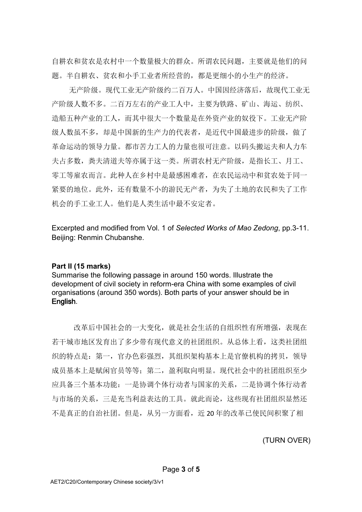自耕农和贫农是农村中一个数量极大的群众。所谓农民问题,主要就是他们的问 题。半自耕农、贫农和小手工业者所经营的,都是更细小的小生产的经济。

无产阶级。现代工业无产阶级约二百万人。中国因经济落后,故现代工业无 产阶级人数不多。二百万左右的产业工人中,主要为铁路、矿山、海运、纺织、 造船五种产业的工人,而其中很大一个数量是在外资产业的奴役下。工业无产阶 级人数虽不多,却是中国新的生产力的代表者,是近代中国最进步的阶级,做了 革命运动的领导力量。都市苦力工人的力量也很可注意。以码头搬运夫和人力车 夫占多数,粪夫清道夫等亦属于这一类。所谓农村无产阶级,是指长工、月工、 零工等雇农而言。此种人在乡村中是最感困难者,在农民运动中和贫农处于同一 紧要的地位。此外,还有数量不小的游民无产者,为失了土地的农民和失了工作 机会的手工业工人。他们是人类生活中最不安定者。

Excerpted and modified from Vol. 1 of *Selected Works of Mao Zedong*, pp.3-11. Beijing: Renmin Chubanshe.

#### **Part II (15 marks)**

Summarise the following passage in around 150 words. Illustrate the development of civil society in reform-era China with some examples of civil organisations (around 350 words). Both parts of your answer should be in English.

改革后中国社会的一大变化,就是社会生活的自组织性有所增强,表现在 若干城市地区发育出了多少带有现代意义的社团组织。从总体上看,这类社团组 织的特点是: 第一, 官办色彩强烈, 其组织架构基本上是官僚机构的拷贝, 领导 成员基本上是赋闲官员等等;第二,盈利取向明显。现代社会中的社团组织至少 应具备三个基本功能:一是协调个体行动者与国家的关系,二是协调个体行动者 与市场的关系,三是充当利益表达的工具。就此而论,这些现有社团组织显然还 不是真正的自治社团。但是,从另一方面看,近 20 年的改革已使民间积聚了相

(TURN OVER)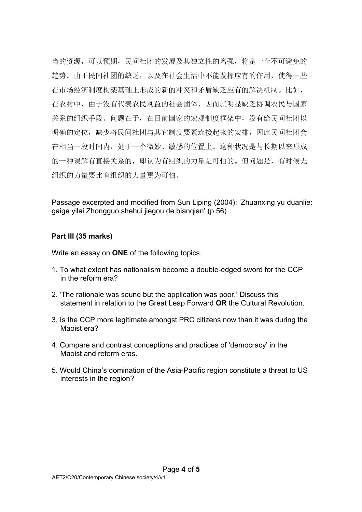当的资源,可以预期,民间社团的发展及其独立性的增强,将是一个不可避免的 趋势。由于民间社团的缺乏,以及在社会生活中不能发挥应有的作用,使得一些 在市场经济制度构架基础上形成的新的冲突和矛盾缺乏应有的解决机制。比如, 在农村中,由于没有代表农民利益的社会团体,因而就明显缺乏协调农民与国家 关系的组织手段。问题在于,在目前国家的宏观制度框架中,没有给民间社团以 明确的定位,缺少将民间社团与其它制度要素连接起来的安排,因此民间社团会 在相当一段时间内,处于一个微妙、敏感的位置上。这种状况是与长期以来形成 的一种误解有直接关系的,即认为有组织的力量是可怕的。但问题是,有时候无 组织的力量要比有组织的力量更为可怕。

Passage excerpted and modified from Sun Liping (2004): 'Zhuanxing yu duanlie: gaige yilai Zhongguo shehui jiegou de bianqian' (p.56)

# **Part III (35 marks)**

Write an essay on **ONE** of the following topics.

- 1. To what extent has nationalism become a double-edged sword for the CCP in the reform era?
- 2. 'The rationale was sound but the application was poor.' Discuss this statement in relation to the Great Leap Forward **OR** the Cultural Revolution.
- 3. Is the CCP more legitimate amongst PRC citizens now than it was during the Maoist era?
- 4. Compare and contrast conceptions and practices of 'democracy' in the Maoist and reform eras.
- 5. Would China's domination of the Asia-Pacific region constitute a threat to US interests in the region?